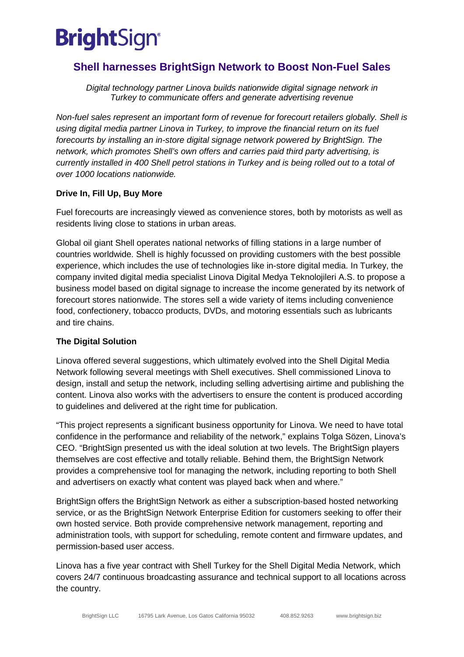# **BrightSign®**

# **Shell harnesses BrightSign Network to Boost Non-Fuel Sales**

*Digital technology partner Linova builds nationwide digital signage network in Turkey to communicate offers and generate advertising revenue* 

*Non-fuel sales represent an important form of revenue for forecourt retailers globally. Shell is using digital media partner Linova in Turkey, to improve the financial return on its fuel forecourts by installing an in-store digital signage network powered by BrightSign. The network, which promotes Shell's own offers and carries paid third party advertising, is currently installed in 400 Shell petrol stations in Turkey and is being rolled out to a total of over 1000 locations nationwide.* 

### **Drive In, Fill Up, Buy More**

Fuel forecourts are increasingly viewed as convenience stores, both by motorists as well as residents living close to stations in urban areas.

Global oil giant Shell operates national networks of filling stations in a large number of countries worldwide. Shell is highly focussed on providing customers with the best possible experience, which includes the use of technologies like in-store digital media. In Turkey, the company invited digital media specialist Linova Digital Medya Teknolojileri A.S. to propose a business model based on digital signage to increase the income generated by its network of forecourt stores nationwide. The stores sell a wide variety of items including convenience food, confectionery, tobacco products, DVDs, and motoring essentials such as lubricants and tire chains.

## **The Digital Solution**

Linova offered several suggestions, which ultimately evolved into the Shell Digital Media Network following several meetings with Shell executives. Shell commissioned Linova to design, install and setup the network, including selling advertising airtime and publishing the content. Linova also works with the advertisers to ensure the content is produced according to guidelines and delivered at the right time for publication.

"This project represents a significant business opportunity for Linova. We need to have total confidence in the performance and reliability of the network," explains Tolga Sözen, Linova's CEO. "BrightSign presented us with the ideal solution at two levels. The BrightSign players themselves are cost effective and totally reliable. Behind them, the BrightSign Network provides a comprehensive tool for managing the network, including reporting to both Shell and advertisers on exactly what content was played back when and where."

BrightSign offers the BrightSign Network as either a subscription-based hosted networking service, or as the BrightSign Network Enterprise Edition for customers seeking to offer their own hosted service. Both provide comprehensive network management, reporting and administration tools, with support for scheduling, remote content and firmware updates, and permission-based user access.

Linova has a five year contract with Shell Turkey for the Shell Digital Media Network, which covers 24/7 continuous broadcasting assurance and technical support to all locations across the country.